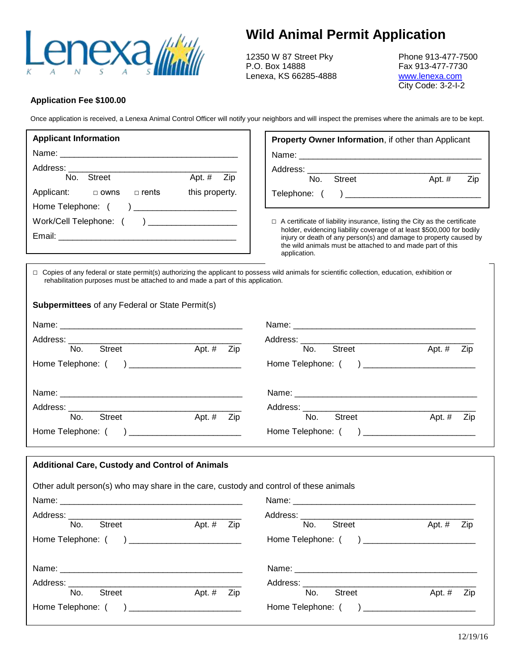

## **Wild Animal Permit Application**

12350 W 87 Street Pky Phone 913-477-7500<br>P.O. Box 14888 F.O. Box 14888 Lenexa, KS 66285-4888 [www.lenexa.com](http://www.lenexa.com/)

Fax 913-477-7730 City Code: 3-2-I-2

## **Application Fee \$100.00**

Once application is received, a Lenexa Animal Control Officer will notify your neighbors and will inspect the premises where the animals are to be kept.

| <b>Applicant Information</b>                             | <b>Property Owner Information, if other than Applicant</b>                                                                                                                                                                |
|----------------------------------------------------------|---------------------------------------------------------------------------------------------------------------------------------------------------------------------------------------------------------------------------|
|                                                          |                                                                                                                                                                                                                           |
| Street<br>No.<br>Apt. # Zip                              | Address: _____________                                                                                                                                                                                                    |
|                                                          | <b>Street</b><br>No.<br>Zip<br>Apt. $#$                                                                                                                                                                                   |
| Applicant: $\Box$ owns<br>this property.<br>$\Box$ rents |                                                                                                                                                                                                                           |
| Home Telephone: ( )                                      |                                                                                                                                                                                                                           |
| Work/Cell Telephone: () ___________________              | $\Box$ A certificate of liability insurance, listing the City as the certificate                                                                                                                                          |
|                                                          | holder, evidencing liability coverage of at least \$500,000 for bodily<br>injury or death of any person(s) and damage to property caused by<br>the wild animals must be attached to and made part of this<br>application. |

□ Copies of any federal or state permit(s) authorizing the applicant to possess wild animals for scientific collection, education, exhibition or rehabilitation purposes must be attached to and made a part of this application.

| <b>Subpermittees</b> of any Federal or State Permit(s) |  |
|--------------------------------------------------------|--|
|                                                        |  |

| <b>Street</b>                                  |     | <b>Street</b>        |        |     |
|------------------------------------------------|-----|----------------------|--------|-----|
| Apt. #<br>No.                                  | Zip | No.                  | Apt. # | Zip |
| Home Telephone: () ___________________________ |     |                      |        |     |
|                                                |     |                      |        |     |
|                                                |     |                      |        |     |
| No.<br><b>Street</b><br>Apt. $#$               | Zip | No.<br><b>Street</b> | Apt. # | Zip |
| Home Telephone: () ________________________    |     |                      |        |     |
|                                                |     |                      |        |     |

| <b>Additional Care, Custody and Control of Animals</b>                                |          |     |                      |          |     |
|---------------------------------------------------------------------------------------|----------|-----|----------------------|----------|-----|
| Other adult person(s) who may share in the care, custody and control of these animals |          |     |                      |          |     |
|                                                                                       |          |     |                      |          |     |
|                                                                                       |          |     |                      |          |     |
| <b>Street</b><br>No.                                                                  | Apt. $#$ | Zip | <b>Street</b><br>No. | Apt. #   | Zip |
| Home Telephone: ( ) ____________________________                                      |          |     |                      |          |     |
|                                                                                       |          |     |                      |          |     |
|                                                                                       |          |     |                      |          |     |
| <b>Street</b><br>No.                                                                  | Apt. $#$ | Zip | <b>Street</b><br>No. | Apt. $#$ | Zip |
| Home Telephone: ( )                                                                   |          |     | Home Telephone: ( )  |          |     |